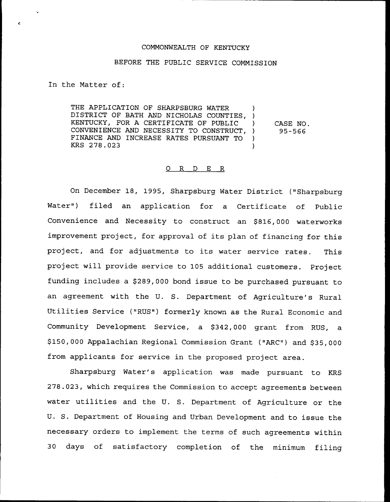# COMMONWEALTH OF KENTUCKY

### BEFORE THE PUBL1C SERVICE COMMISSION

In the Matter of:

THE APPLICATION OF SHARPSBURG WATER DISTRICT OF BATH AND NICHOLAS COUNTIES, ) KENTUCKY, FOR A CERTIFICATE OF PUBLIC ) CONVENIENCE AND NECESSITY TO CONSTRUCT, ) FINANCE AND INCREASE RATES PURSUANT TO )<br>KRS 278.023 KRS 278.023 ) CASE NO. 95-566

#### O R D E R

On December 18, 1995, Sharpsburg Water District ("Sharpsburg Water") filed an application for a Certificate of Public Convenience and Necessity to construct an \$816,000 waterworks improvement project, for approval of its plan of financing for this project, and for adjustments to its water service rates. This project will provide service to 105 additional customers. Project funding includes a \$289,000 bond issue to be purchased pursuant to an agreement with the U. S. Department of Agriculture's Rural Utilities Service ("RUS") formerly known as the Rural Economic and Community Development Service, a \$342,000 grant from RUS, a \$ 150,000 Appalachian Regional Commission Grant ("ARC") and \$35,000 from applicants for service in the proposed project area.

Sharpsburg Water's application was made pursuant to KRS 278.023, which requires the Commission to accept agreements between water utilities and the U. S. Department of Agriculture or the U. S. Department of Housing and Urban Development and to issue the necessary orders to implement the terms of such agreements within 30 days of satisfactory completion of the minimum filing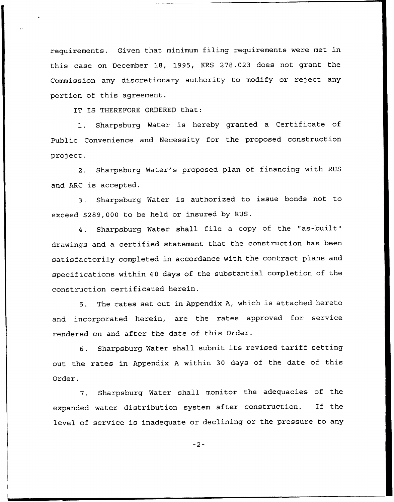requirements. Given that minimum filing requirements were met in this case on December 18, 1995, KRS 278.023 does not grant the Commission any discretionary authority to modify or reject any portion of this agreement.

IT IS THEREFORE ORDERED that:

1. Sharpsburg Water is hereby granted <sup>a</sup> Certificate of Public Convenience and Necessity for the proposed construction project.

2. Sharpsburg Water's proposed plan of financing with RUS and ARC is accepted.

3. Sharpsburg Water is authorized to issue bonds not to exceed \$289,000 to be held or insured by RUS.

4. Sharpsburg Water shall file <sup>a</sup> copy of the "as-built" drawings and a certified statement that the construction has been satisfactorily completed in accordance with the contract plans and specifications within 60 days of the substantial completion of the construction certificated herein.

5. The rates set out in Appendix A, which is attached hereto and incorporated herein, are the rates approved for service rendered on and after the date of this Order.

6. Sharpsburg Water shall submit its revised tariff setting out the rates in Appendix <sup>A</sup> within <sup>30</sup> days of the date of this Order.

7. Sharpsburg Water shall monitor the adequacies of the expanded water distribution system after construction. If the level of service is inadequate or declining or the pressure to any

 $-2-$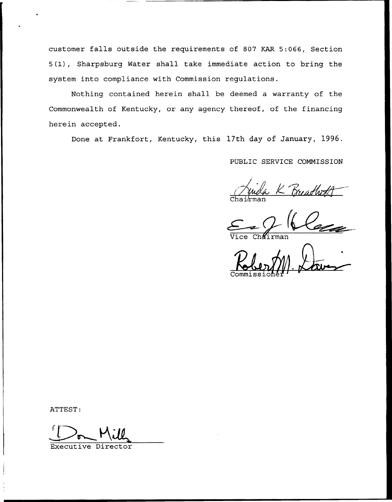customer falls outside the requirements of 807 KAR 5:066, Section 5(1), Sharpsburg Water shall take immediate action to bring the system into compliance with Commission regulations.

Nothing contained herein shall be deemed a warranty of the Commonwealth of Kentucky, or any agency thereof, of the financing herein accepted.

Done at Frankfort, Kentucky, this 17th day of January, 1996.

PUBLIC SERVICE COMMISSION

K Breadhatt Chai⁄rma

Vice Chairma

Commissione

ATTEST:

Executive Director